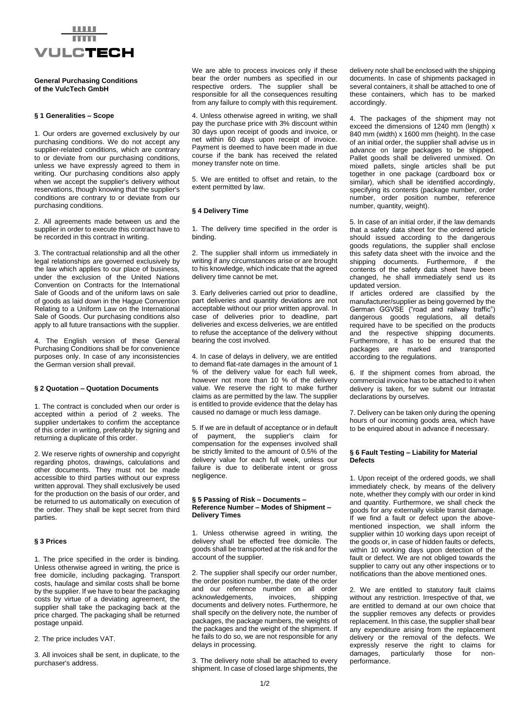

# **General Purchasing Conditions of the VulcTech GmbH**

### **§ 1 Generalities – Scope**

1. Our orders are governed exclusively by our purchasing conditions. We do not accept any supplier-related conditions, which are contrary to or deviate from our purchasing conditions, unless we have expressly agreed to them in writing. Our purchasing conditions also apply when we accept the supplier's delivery without reservations, though knowing that the supplier's conditions are contrary to or deviate from our purchasing conditions.

2. All agreements made between us and the supplier in order to execute this contract have to be recorded in this contract in writing.

3. The contractual relationship and all the other legal relationships are governed exclusively by the law which applies to our place of business, under the exclusion of the United Nations Convention on Contracts for the International Sale of Goods and of the uniform laws on sale of goods as laid down in the Hague Convention Relating to a Uniform Law on the International Sale of Goods. Our purchasing conditions also apply to all future transactions with the supplier.

4. The English version of these General Purchasing Conditions shall be for convenience purposes only. In case of any inconsistencies the German version shall prevail.

#### **§ 2 Quotation – Quotation Documents**

1. The contract is concluded when our order is accepted within a period of 2 weeks. The supplier undertakes to confirm the acceptance of this order in writing, preferably by signing and returning a duplicate of this order.

2. We reserve rights of ownership and copyright regarding photos, drawings, calculations and other documents. They must not be made accessible to third parties without our express written approval. They shall exclusively be used for the production on the basis of our order, and be returned to us automatically on execution of the order. They shall be kept secret from third parties.

#### **§ 3 Prices**

1. The price specified in the order is binding. Unless otherwise agreed in writing, the price is free domicile, including packaging. Transport costs, haulage and similar costs shall be borne by the supplier. If we have to bear the packaging costs by virtue of a deviating agreement, the supplier shall take the packaging back at the price charged. The packaging shall be returned postage unpaid.

2. The price includes VAT.

3. All invoices shall be sent, in duplicate, to the purchaser's address.

We are able to process invoices only if these bear the order numbers as specified in our respective orders. The supplier shall be responsible for all the consequences resulting from any failure to comply with this requirement.

4. Unless otherwise agreed in writing, we shall pay the purchase price with 3% discount within 30 days upon receipt of goods and invoice, or net within 60 days upon receipt of invoice. Payment is deemed to have been made in due course if the bank has received the related money transfer note on time.

5. We are entitled to offset and retain, to the extent permitted by law.

#### **§ 4 Delivery Time**

1. The delivery time specified in the order is binding.

2. The supplier shall inform us immediately in writing if any circumstances arise or are brought to his knowledge, which indicate that the agreed delivery time cannot be met.

3. Early deliveries carried out prior to deadline, part deliveries and quantity deviations are not acceptable without our prior written approval. In case of deliveries prior to deadline, part deliveries and excess deliveries, we are entitled to refuse the acceptance of the delivery without bearing the cost involved.

4. In case of delays in delivery, we are entitled to demand flat-rate damages in the amount of 1 % of the delivery value for each full week, however not more than 10 % of the delivery value. We reserve the right to make further claims as are permitted by the law. The supplier is entitled to provide evidence that the delay has caused no damage or much less damage.

5. If we are in default of acceptance or in default of payment, the supplier's claim for compensation for the expenses involved shall be strictly limited to the amount of 0.5% of the delivery value for each full week, unless our failure is due to deliberate intent or gross negligence.

### **§ 5 Passing of Risk – Documents – Reference Number – Modes of Shipment – Delivery Times**

1. Unless otherwise agreed in writing, the delivery shall be effected free domicile. The goods shall be transported at the risk and for the account of the supplier.

2. The supplier shall specify our order number, the order position number, the date of the order and our reference number on all order acknowledgements, invoices, shipping documents and delivery notes. Furthermore, he shall specify on the delivery note, the number of packages, the package numbers, the weights of the packages and the weight of the shipment. If he fails to do so, we are not responsible for any delays in processing.

3. The delivery note shall be attached to every shipment. In case of closed large shipments, the delivery note shall be enclosed with the shipping documents. In case of shipments packaged in several containers, it shall be attached to one of these containers, which has to be marked accordingly.

4. The packages of the shipment may not exceed the dimensions of 1240 mm (length) x 840 mm (width) x 1600 mm (height). In the case of an initial order, the supplier shall advise us in advance on large packages to be shipped. Pallet goods shall be delivered unmixed. On mixed pallets, single articles shall be put together in one package (cardboard box or similar), which shall be identified accordingly, specifying its contents (package number, order number, order position number, reference number, quantity, weight).

5. In case of an initial order, if the law demands that a safety data sheet for the ordered article should issued according to the dangerous goods regulations, the supplier shall enclose this safety data sheet with the invoice and the shipping documents. Furthermore, if the contents of the safety data sheet have been changed, he shall immediately send us its updated version.

If articles ordered are classified by the manufacturer/supplier as being governed by the German GGVSE ("road and railway traffic") dangerous goods regulations, all details required have to be specified on the products and the respective shipping documents. Furthermore, it has to be ensured that the packages are marked and transported according to the regulations.

6. If the shipment comes from abroad, the commercial invoice has to be attached to it when delivery is taken, for we submit our Intrastat declarations by ourselves.

7. Delivery can be taken only during the opening hours of our incoming goods area, which have to be enquired about in advance if necessary.

### **§ 6 Fault Testing – Liability for Material Defects**

1. Upon receipt of the ordered goods, we shall immediately check, by means of the delivery note, whether they comply with our order in kind and quantity. Furthermore, we shall check the goods for any externally visible transit damage. If we find a fault or defect upon the abovementioned inspection, we shall inform the supplier within 10 working days upon receipt of the goods or, in case of hidden faults or defects, within 10 working days upon detection of the fault or defect. We are not obliged towards the supplier to carry out any other inspections or to notifications than the above mentioned ones.

2. We are entitled to statutory fault claims without any restriction. Irrespective of that, we are entitled to demand at our own choice that the supplier removes any defects or provides replacement. In this case, the supplier shall bear any expenditure arising from the replacement delivery or the removal of the defects. We expressly reserve the right to claims for damages, particularly those for nonperformance.